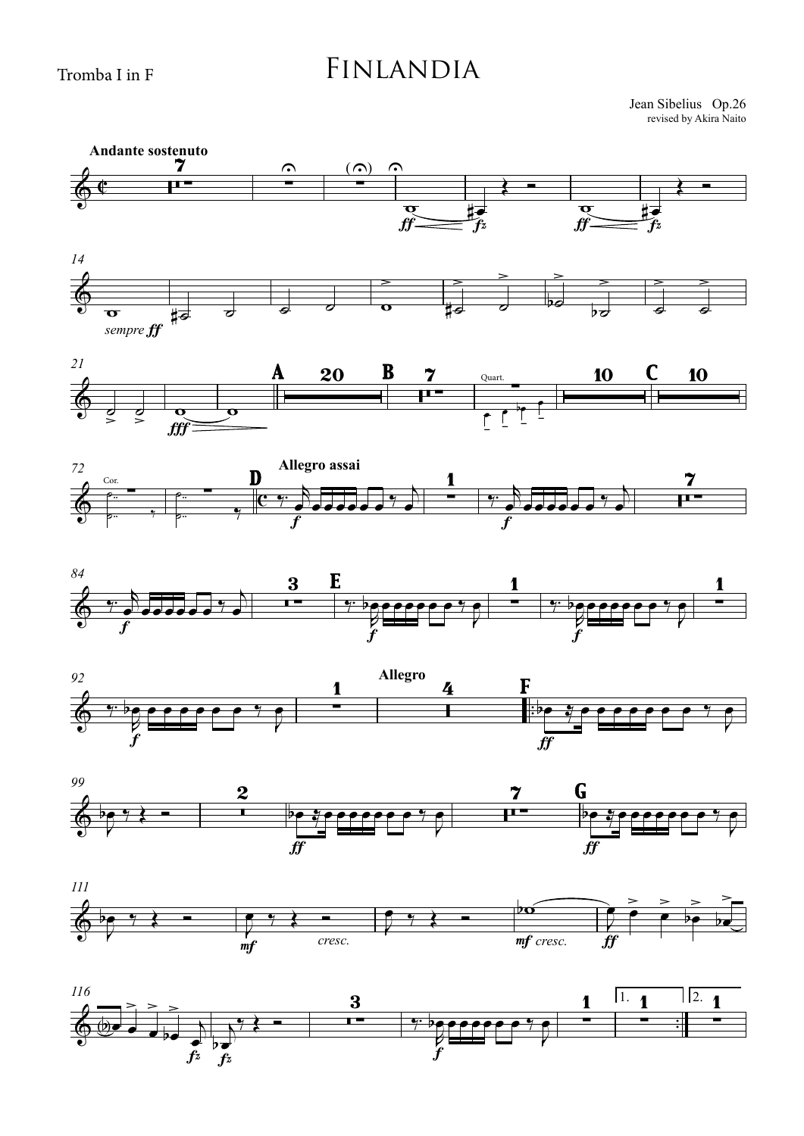## FINLANDIA

Jean Sibelius Op.26 revised by Akira Naito



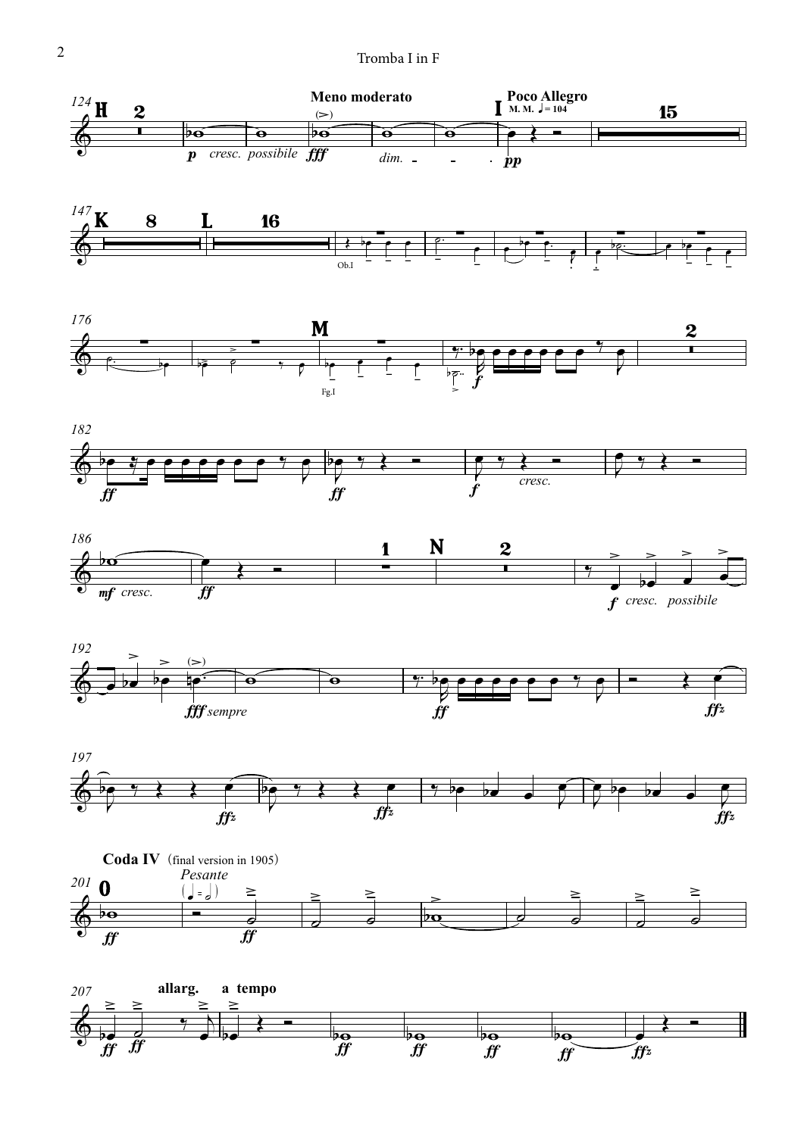